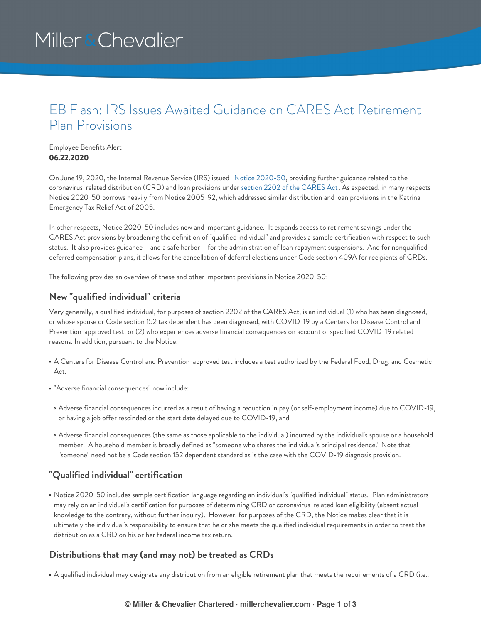# Miller & Chevalier

# EB Flash: IRS Issues Awaited Guidance on CARES Act Retirement Plan Provisions

#### Employee Benefits Alert **06.22.2020**

On June 19, 2020, the Internal Revenue Service (IRS) issued Notice [2020-50](https://www.irs.gov/pub/irs-drop/n-20-50.pdf), providing further guidance related to the coronavirus-related distribution (CRD) and loan provisions under section 2202 of the [CARES](https://www.congress.gov/bill/116th-congress/house-bill/748/text/enr#toc-H7E8FA907EAE04884809A56325BD425E5) Act. As expected, in many respects Notice 2020-50 borrows heavily from Notice 2005-92, which addressed similar distribution and loan provisions in the Katrina Emergency Tax Relief Act of 2005.

In other respects, Notice 2020-50 includes new and important guidance. It expands access to retirement savings under the CARES Act provisions by broadening the definition of "qualified individual" and provides a sample certification with respect to such status. It also provides guidance – and a safe harbor – for the administration of loan repayment suspensions. And for nonqualified deferred compensation plans, it allows for the cancellation of deferral elections under Code section 409A for recipients of CRDs.

The following provides an overview of these and other important provisions in Notice 2020-50:

#### **New "qualified individual" criteria**

Very generally, a qualified individual, for purposes of section 2202 of the CARES Act, is an individual (1) who has been diagnosed, or whose spouse or Code section 152 tax dependent has been diagnosed, with COVID-19 by a Centers for Disease Control and Prevention-approved test, or (2) who experiences adverse financial consequences on account of specified COVID-19 related reasons. In addition, pursuant to the Notice:

- A Centers for Disease Control and Prevention-approved test includes a test authorized by the Federal Food, Drug, and Cosmetic Act.
- "Adverse financial consequences" now include:
- Adverse financial consequences incurred as a result of having a reduction in pay (or self-employment income) due to COVID-19, or having a job offer rescinded or the start date delayed due to COVID-19, and
- Adverse financial consequences (the same as those applicable to the individual) incurred by the individual's spouse or a household member. A household member is broadly defined as "someone who shares the individual's principal residence." Note that "someone" need not be a Code section 152 dependent standard as is the case with the COVID-19 diagnosis provision.

### **"Qualified individual" certification**

Notice 2020-50 includes sample certification language regarding an individual's "qualified individual" status. Plan administrators may rely on an individual's certification for purposes of determining CRD or coronavirus-related loan eligibility (absent actual knowledge to the contrary, without further inquiry). However, for purposes of the CRD, the Notice makes clear that it is ultimately the individual's responsibility to ensure that he or she meets the qualified individual requirements in order to treat the distribution as a CRD on his or her federal income tax return.

### **Distributions that may (and may not) be treated as CRDs**

A qualified individual may designate any distribution from an eligible retirement plan that meets the requirements of a CRD (i.e.,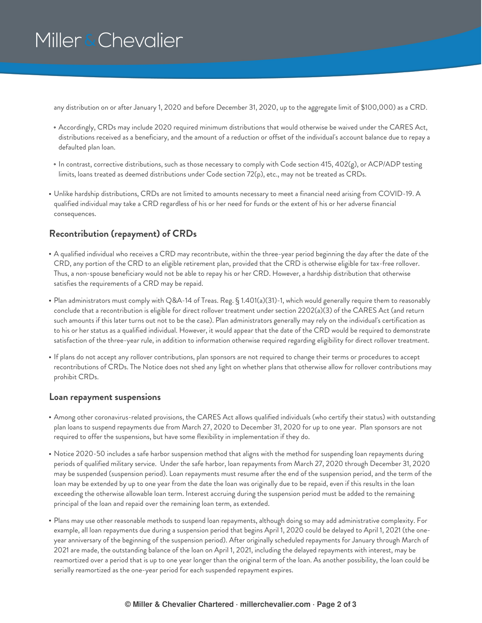# Miller & Chevalier

any distribution on or after January 1, 2020 and before December 31, 2020, up to the aggregate limit of \$100,000) as a CRD.

- Accordingly, CRDs may include 2020 required minimum distributions that would otherwise be waived under the CARES Act, distributions received as a beneficiary, and the amount of a reduction or offset of the individual's account balance due to repay a defaulted plan loan.
- In contrast, corrective distributions, such as those necessary to comply with Code section 415, 402(g), or ACP/ADP testing limits, loans treated as deemed distributions under Code section 72(p), etc., may not be treated as CRDs.
- Unlike hardship distributions, CRDs are not limited to amounts necessary to meet a financial need arising from COVID-19. A qualified individual may take a CRD regardless of his or her need for funds or the extent of his or her adverse financial consequences.

## **Recontribution (repayment) of CRDs**

- A qualified individual who receives a CRD may recontribute, within the three-year period beginning the day after the date of the CRD, any portion of the CRD to an eligible retirement plan, provided that the CRD is otherwise eligible for tax-free rollover. Thus, a non-spouse beneficiary would not be able to repay his or her CRD. However, a hardship distribution that otherwise satisfies the requirements of a CRD may be repaid.
- Plan administrators must comply with Q&A-14 of Treas. Reg. § 1.401(a)(31)-1, which would generally require them to reasonably conclude that a recontribution is eligible for direct rollover treatment under section 2202(a)(3) of the CARES Act (and return such amounts if this later turns out not to be the case). Plan administrators generally may rely on the individual's certification as to his or her status as a qualified individual. However, it would appear that the date of the CRD would be required to demonstrate satisfaction of the three-year rule, in addition to information otherwise required regarding eligibility for direct rollover treatment.
- If plans do not accept any rollover contributions, plan sponsors are not required to change their terms or procedures to accept recontributions of CRDs. The Notice does not shed any light on whether plans that otherwise allow for rollover contributions may prohibit CRDs.

#### **Loan repayment suspensions**

- Among other coronavirus-related provisions, the CARES Act allows qualified individuals (who certify their status) with outstanding plan loans to suspend repayments due from March 27, 2020 to December 31, 2020 for up to one year. Plan sponsors are not required to offer the suspensions, but have some flexibility in implementation if they do.
- Notice 2020-50 includes a safe harbor suspension method that aligns with the method for suspending loan repayments during periods of qualified military service. Under the safe harbor, loan repayments from March 27, 2020 through December 31, 2020 may be suspended (suspension period). Loan repayments must resume after the end of the suspension period, and the term of the loan may be extended by up to one year from the date the loan was originally due to be repaid, even if this results in the loan exceeding the otherwise allowable loan term. Interest accruing during the suspension period must be added to the remaining principal of the loan and repaid over the remaining loan term, as extended.
- Plans may use other reasonable methods to suspend loan repayments, although doing so may add administrative complexity. For example, all loan repayments due during a suspension period that begins April 1, 2020 could be delayed to April 1, 2021 (the oneyear anniversary of the beginning of the suspension period). After originally scheduled repayments for January through March of 2021 are made, the outstanding balance of the loan on April 1, 2021, including the delayed repayments with interest, may be reamortized over a period that is up to one year longer than the original term of the loan. As another possibility, the loan could be serially reamortized as the one-year period for each suspended repayment expires.